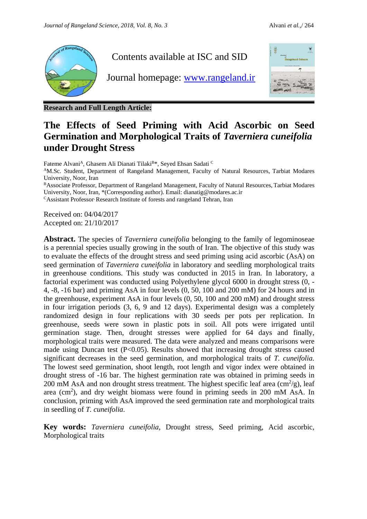

**Research and Full Length Article:**

# **The Effects of Seed Priming with Acid Ascorbic on Seed Germination and Morphological Traits of** *Taverniera cuneifolia* **under Drought Stress**

Fateme Alvani<sup>A</sup>, Ghasem Ali Dianati Tilaki<sup>B\*</sup>, Seyed Ehsan Sadati C

<sup>A</sup>M.Sc. Student, Department of Rangeland Management, Faculty of Natural Resources, Tarbiat Modares University, Noor, Iran

<sup>B</sup>Associate Professor, Department of Rangeland Management, Faculty of Natural Resources, Tarbiat Modares University, Noor, Iran, \*(Corresponding author). Email: dianatig@modares.ac.ir

<sup>C</sup>Assistant Professor, Research Institute of forests and rangeland Tehran, Iran

Received on: 04/04/2017 Accepted on: 21/10/2017

**Abstract.** The species of *Taverniera cuneifolia* belonging to the family of legominoseae is a perennial species usually growing in the south of Iran. The objective of this study was to evaluate the effects of the drought stress and seed priming using acid ascorbic (AsA) on seed germination of *Taverniera cuneifolia* in laboratory and seedling morphological traits in greenhouse conditions. This study was conducted in 2015 in Iran. In laboratory, a factorial experiment was conducted using Polyethylene glycol 6000 in drought stress (0, - 4, -8, -16 bar) and priming AsA in four levels (0, 50, 100 and 200 mM) for 24 hours and in the greenhouse, experiment AsA in four levels (0, 50, 100 and 200 mM) and drought stress in four irrigation periods (3, 6, 9 and 12 days). Experimental design was a completely randomized design in four replications with 30 seeds per pots per replication. In greenhouse, seeds were sown in plastic pots in soil. All pots were irrigated until germination stage. Then, drought stresses were applied for 64 days and finally, morphological traits were measured. The data were analyzed and means comparisons were made using Duncan test  $(P<0.05)$ . Results showed that increasing drought stress caused significant decreases in the seed germination, and morphological traits of *T. cuneifolia.* The lowest seed germination, shoot length, root length and vigor index were obtained in drought stress of -16 bar. The highest germination rate was obtained in priming seeds in 200 mM AsA and non drought stress treatment. The highest specific leaf area  $\text{cm}^2/\text{g}$ ), leaf area (cm<sup>2</sup>), and dry weight biomass were found in priming seeds in 200 mM AsA. In conclusion, priming with AsA improved the seed germination rate and morphological traits in seedling of *T. cuneifolia*.

**Key words:** *Taverniera cuneifolia*, Drought stress, Seed priming, Acid ascorbic, Morphological traits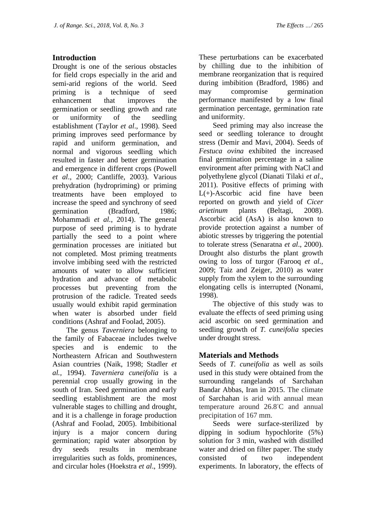# **Introduction**

Drought is one of the serious obstacles for field crops especially in the arid and semi-arid regions of the world. Seed priming is a technique of seed enhancement that improves the germination or seedling growth and rate or uniformity of the seedling establishment (Taylor *et al*., 1998). Seed priming improves seed performance by rapid and uniform germination, and normal and vigorous seedling which resulted in faster and better germination and emergence in different crops (Powell *et al*., 2000; Cantliffe, 2003). Various prehydration (hydropriming) or priming treatments have been employed to increase the speed and synchrony of seed germination (Bradford, 1986; Mohammadi *et al.*, 2014). The general purpose of seed priming is to hydrate partially the seed to a point where germination processes are initiated but not completed. Most priming treatments involve imbibing seed with the restricted amounts of water to allow sufficient hydration and advance of metabolic processes but preventing from the protrusion of the radicle. Treated seeds usually would exhibit rapid germination when water is absorbed under field conditions (Ashraf and Foolad, 2005).

The genus *Taverniera* belonging to the family of Fabaceae includes twelve species and is endemic to the Northeastern African and Southwestern Asian countries (Naik, 1998; Stadler *et al.,* 1994). *Taverniera cuneifolia* is a perennial crop usually growing in the south of Iran. Seed germination and early seedling establishment are the most vulnerable stages to chilling and drought, and it is a challenge in forage production (Ashraf and Foolad, 2005). Imbibitional injury is a major concern during germination; rapid water absorption by dry seeds results in membrane irregularities such as folds, prominences, and circular holes (Hoekstra *et al*., 1999).

These perturbations can be exacerbated by chilling due to the inhibition of membrane reorganization that is required during imbibition (Bradford, 1986) and may compromise germination performance manifested by a low final germination percentage, germination rate and uniformity.

Seed priming may also increase the seed or seedling tolerance to drought stress (Demir and Mavi, 2004). Seeds of *Festuca ovina* exhibited the increased final germination percentage in a saline environment after priming with NaCl and polyethylene glycol (Dianati Tilaki *et al*., 2011). Positive effects of priming with  $L(+)$ -Ascorbic acid fine have been reported on growth and yield of *Cicer arietinum* plants (Beltagi, 2008). Ascorbic acid (AsA) is also known to provide protection against a number of abiotic stresses by triggering the potential to tolerate stress (Senaratna *et al*., 2000). Drought also disturbs the plant growth owing to loss of turgor (Farooq *et al.,* 2009; Taiz and Zeiger, 2010) as water supply from the xylem to the surrounding elongating cells is interrupted (Nonami, 1998).

The objective of this study was to evaluate the effects of seed priming using acid ascorbic on seed germination and seedling growth of *T. cuneifolia* species under drought stress.

# **Materials and Methods**

Seeds of *T. cuneifolia* as well as soils used in this study were obtained from the surrounding rangelands of Sarchahan Bandar Abbas, Iran in 2015. The climate of Sarchahan is arid with annual mean temperature around 26.8◦C and annual precipitation of 167 mm.

Seeds were surface-sterilized by dipping in sodium hypochlorite (5%) solution for 3 min, washed with distilled water and dried on filter paper. The study consisted of two independent experiments. In laboratory, the effects of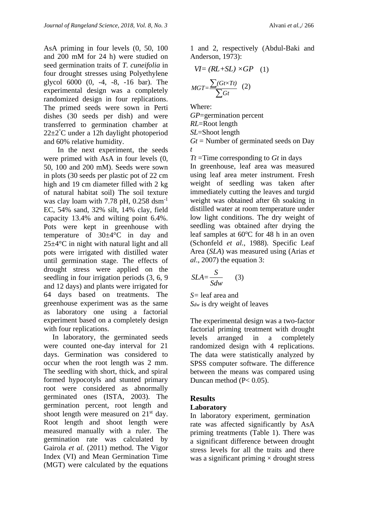AsA priming in four levels (0, 50, 100 and 200 mM for 24 h) were studied on seed germination traits of *T. cuneifolia* in four drought stresses using Polyethylene glycol 6000 (0, -4, -8, -16 bar). The experimental design was a completely randomized design in four replications. The primed seeds were sown in Perti dishes (30 seeds per dish) and were transferred to germination chamber at  $22\pm2^{\circ}$ C under a 12h daylight photoperiod and 60% relative humidity.

In the next experiment, the seeds were primed with AsA in four levels (0, 50, 100 and 200 mM). Seeds were sown in plots (30 seeds per plastic pot of 22 cm high and 19 cm diameter filled with 2 kg of natural habitat soil) The soil texture was clay loam with 7.78 pH,  $0.258$  dsm<sup>-1</sup> EC, 54% sand, 32% silt, 14% clay, field capacity 13.4% and wilting point 6.4%. Pots were kept in greenhouse with temperature of  $30\pm4\degree C$  in day and 25±4°C in night with natural light and all pots were irrigated with distilled water until germination stage. The effects of drought stress were applied on the seedling in four irrigation periods (3, 6, 9 and 12 days) and plants were irrigated for 64 days based on treatments. The greenhouse experiment was as the same as laboratory one using a factorial experiment based on a completely design with four replications.

In laboratory, the germinated seeds were counted one-day interval for 21 days. Germination was considered to occur when the root length was 2 mm. The seedling with short, thick, and spiral formed hypocotyls and stunted primary root were considered as abnormally germinated ones (ISTA, 2003). The germination percent, root length and shoot length were measured on  $21<sup>st</sup>$  day. Root length and shoot length were measured manually with a ruler. The germination rate was calculated by Gairola *et al.* (2011) method. The Vigor Index (VI) and Mean Germination Time (MGT) were calculated by the equations

1 and 2, respectively (Abdul-Baki and Anderson, 1973):

$$
VI = (RL + SL) \times GP \quad (1)
$$

$$
MGT = \frac{\sum (Gt \times Tt)}{\sum Gt} \quad (2)
$$

Where: *GP*=germination percent *RL*=Root length *SL*=Shoot length  $Gt$  = Number of germinated seeds on Day *t*

*Tt* =Time corresponding to *Gt* in days

In greenhouse, leaf area was measured using leaf area meter instrument. Fresh weight of seedling was taken after immediately cutting the leaves and turgid weight was obtained after 6h soaking in distilled water at room temperature under low light conditions. The dry weight of seedling was obtained after drying the leaf samples at  $60^{\circ}$ C for 48 h in an oven (Schonfeld *et al.*, 1988). Specific Leaf Area (*SLA*) was measured using (Arias *et al*., 2007) the equation 3:

$$
SLA = \frac{S}{Sdw} \qquad (3)
$$

*S=* leaf area and *Sdw* is dry weight of leaves

The experimental design was a two-factor factorial priming treatment with drought levels arranged in a completely randomized design with 4 replications. The data were statistically analyzed by SPSS computer software. The difference between the means was compared using Duncan method (P< 0.05).

# **Results**

#### **Laboratory**

In laboratory experiment, germination rate was affected significantly by AsA priming treatments (Table 1). There was a significant difference between drought stress levels for all the traits and there was a significant priming  $\times$  drought stress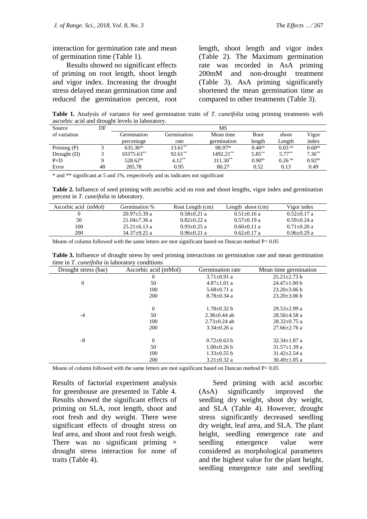interaction for germination rate and mean of germination time (Table 1).

Results showed no significant effects of priming on root length, shoot length and vigor index. Increasing the drought stress delayed mean germination time and reduced the germination percent, root

length, shoot length and vigor index (Table 2). The Maximum germination rate was recorded in AsA priming 200mM and non-drought treatment (Table 3). AsA priming significantly shortened the mean germination time as compared to other treatments (Table 3).

**Table 1.** Analysis of variance for seed germination traits of *T. cuneifolia* using priming treatments with ascorbic acid and drought levels in laboratory.

| Source        | DF |                        |             | МS                  |                    |                      |                    |
|---------------|----|------------------------|-------------|---------------------|--------------------|----------------------|--------------------|
| of variation  |    | Germination            | Germination | Mean time           | Root               | shoot                | Vigor              |
|               |    | percentage             | rate        | germination         | length             | Length               | index              |
| Priming $(P)$ |    | $635.36$ <sup>ns</sup> | $13.61***$  | 98.97 <sup>ns</sup> | $0.46^{ns}$        | $0.03$ <sup>ns</sup> | 0.60 <sup>ns</sup> |
| Drought $(D)$ |    | $10375.63***$          | $92.61***$  | $1492.21***$        | $5.85***$          | $5.77***$            | $7.36**$           |
| $P\times D$   | Q  | $528.62$ <sup>ns</sup> | $4.12***$   | $311.30**$          | 0.90 <sup>ns</sup> | $0.26$ <sup>ns</sup> | $0.92^{ns}$        |
| Error         | 48 | 285.78                 | 0.95        | 80.27               | 0.52               | 0.13                 | 0.49               |

\* and \*\* significant at 5 and 1%, respectively and ns indicates not significant

**Table 2.** Influence of seed priming with ascorbic acid on root and shoot lengths, vigor index and germination percent in *T. cuneifolia* in laboratory.

| Ascorbic acid (mMol) | Germination %      | Root Length (cm) | Length shoot $(cm)$ | Vigor index     |
|----------------------|--------------------|------------------|---------------------|-----------------|
|                      | $20.97 \pm 5.39$ a | $0.58 + 0.21$ a  | $0.51 + 0.16$ a     | $0.52 + 0.17$ a |
| 50                   | $21.04 + 7.36$ a   | $0.82 + 0.22$ a  | $0.57+0.19$ a       | $0.59 + 0.24$ a |
| 100                  | $25.21 + 6.13$ a   | $0.93 + 0.25$ a  | $0.60+0.11$ a       | $0.71 + 0.20$ a |
| 200                  | $34.37+9.25$ a     | $0.96 + 0.21$ a  | $0.62+0.17$ a       | $0.96 + 0.29$ a |

Means of column followed with the same letters are mot significant based on Duncan method P< 0.05

| Table 3. Influence of drought stress by seed priming interactions on germination rate and mean germination |  |
|------------------------------------------------------------------------------------------------------------|--|
| time in T. <i>cuneifolia</i> in laboratory conditions                                                      |  |

| Drought stress (bar) | Ascorbic acid (mMol) | Germination rate  | Mean time germination |
|----------------------|----------------------|-------------------|-----------------------|
|                      | 0                    | $3.71 \pm 0.91$ a | $25.21 \pm 2.73$ b    |
| $\overline{0}$       | 50                   | $4.87 \pm 1.01$ a | $24.47 \pm 1.00$ b    |
|                      | 100                  | $5.68 \pm 0.71$ a | $23.20 \pm 3.06$ b    |
|                      | 200                  | $8.78 \pm 0.34$ a | $23.20 \pm 3.06$ b    |
|                      | $\theta$             | $1.78 \pm 0.32$ b | $29.53 \pm 2.99$ a    |
| $-4$                 | 50                   | $2.38 + 0.44$ ab  | $28.50 \pm 4.58$ a    |
|                      | 100                  | $2.73+0.24$ ab    | $28.32 \pm 0.75$ a    |
|                      | 200                  | $3.34 \pm 0.26$ a | $27.66 + 2.76$ a      |
| $-8$                 | $\Omega$             | $0.72 \pm 0.63$ b | $32.34 \pm 1.87$ a    |
|                      | 50                   | $1.00 \pm 0.26$ b | $31.57 \pm 1.39$ a    |
|                      | 100                  | $1.33 \pm 0.55$ b | $31.42 \pm 2.54$ a    |
|                      | 200                  | $3.21 \pm 0.32$ a | $30.49 \pm 1.05$ a    |

Means of column followed with the same letters are mot significant based on Duncan method  $P < 0.05$ 

Results of factorial experiment analysis for greenhouse are presented in Table 4. Results showed the significant effects of priming on SLA, root length, shoot and root fresh and dry weight. There were significant effects of drought stress on leaf area, and shoot and root fresh weigh. There was no significant priming  $\times$ drought stress interaction for none of traits (Table 4).

Seed priming with acid ascorbic (AsA) significantly improved the seedling dry weight, shoot dry weight, and SLA (Table 4). However, drought stress significantly decreased seedling dry weight, leaf area, and SLA. The plant height, seedling emergence rate and seedling emergence value were considered as morphological parameters and the highest value for the plant height, seedling emergence rate and seedling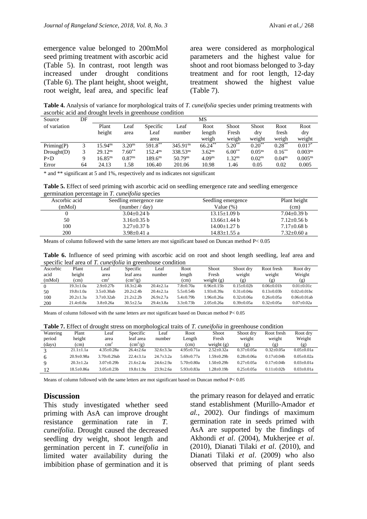emergence value belonged to 200mMol seed priming treatment with ascorbic acid (Table 5). In contrast, root length was increased under drought conditions (Table 6). The plant height, shoot weight, root weight, leaf area, and specific leaf area were considered as morphological parameters and the highest value for shoot and root biomass belonged to 3-day treatment and for root length, 12-day treatment showed the highest value (Table 7).

**Table 4.** Analysis of variance for morphological traits of *T. cuneifolia* species under priming treatments with ascorbic acid and drought levels in greenhouse condition

| Source       | DF | MS                    |                    |                     |                      |                    |                   |             |                    |                     |  |
|--------------|----|-----------------------|--------------------|---------------------|----------------------|--------------------|-------------------|-------------|--------------------|---------------------|--|
| of variation |    | Plant                 | Leaf               | Specific            | Leaf                 | Root               | Shoot             | Shoot       | Root               | Root                |  |
|              |    | height                | area               | Leaf                | number               | length             | Fresh             | drv         | fresh              | dry                 |  |
|              |    |                       |                    | area                |                      | weigh              | weigh             | weight      | weigh              | weight              |  |
| Priming(P)   |    | $5.94^{ns}$           | 3.20 <sup>ns</sup> | 591.8**             | 345.91 <sup>ns</sup> | $66.24***$         | $5.20**$          | $0.20**$    | $0.28***$          | $0.017*$            |  |
| Drought(D)   |    | $29.12^{ns}$          | $7.60**$           | 152.4 <sup>ns</sup> | 338.53 <sup>ns</sup> | $3.62^{ns}$        | $6.00**$          | $0.05^{ns}$ | $0.16***$          | 0.003 <sup>ns</sup> |  |
| $P\times D$  | Q  | $16.85$ <sup>ns</sup> | $0.87^{ns}$        | $189.6^{ns}$        | 50.79 <sup>ns</sup>  | 4.09 <sup>ns</sup> | .32 <sup>ns</sup> | $0.02^{ns}$ | 0.04 <sup>ns</sup> | $0.005^{ns}$        |  |
| Error        | 64 | 24.13                 | l.58               | 106.40              | 201.06               | 10.98              | 1.46              | 0.05        | 0.02               | 0.005               |  |
|              |    |                       |                    |                     |                      |                    |                   |             |                    |                     |  |

\* and \*\* significant at 5 and 1%, respectively and ns indicates not significant

**Table 5.** Effect of seed priming with ascorbic acid on seedling emergence rate and seedling emergence germination percentage in *T. cuneifolia* species

| Ascorbic acid | Seedling emergence rate | Seedling emergence | Plant height      |
|---------------|-------------------------|--------------------|-------------------|
| (mMol)        | (number / day)          | Value (%)          | (cm)              |
|               | $3.04 + 0.24$ b         | $13.15 \pm 1.09$ b | $7.04 \pm 0.39$ b |
| 50            | 3.16 $\pm$ 0.35 b       | $13.66 \pm 1.44$ b | $7.12 \pm 0.56$ b |
| 100           | $3.27 \pm 0.37$ b       | $14.00 \pm 1.27$ b | $7.17 \pm 0.68$ b |
| 200           | $3.98 \pm 0.41$ a       | 14.83+1.55 a       | $7.32 \pm 0.60$ a |
|               |                         |                    |                   |

Means of column followed with the same letters are mot significant based on Duncan method P< 0.05

| Table 6. Influence of seed priming with ascorbic acid on root and shoot length seedling, leaf area and |  |  |  |  |
|--------------------------------------------------------------------------------------------------------|--|--|--|--|
| specific leaf area of T. cuneifolia in greenhouse condition                                            |  |  |  |  |

| Ascorbic | Plant           | Leaf              | Specific         | Leaf            | Root             | <b>Shoot</b>     | Shoot dry        | Root fresh        | Root dry         |  |
|----------|-----------------|-------------------|------------------|-----------------|------------------|------------------|------------------|-------------------|------------------|--|
| acid     | height          | area              | leaf area        | number          | length           | Fresh            | weight           | weight            | Weight           |  |
| (mMol)   | (cm)            | $\text{cm}^2$     | $\rm (cm^2/g)$   |                 | (cm)             | weight $(g)$     | (g)              | (g)               | (g)              |  |
| $\Omega$ | $19.3 \pm 1.0a$ | $2.9 + 0.27$      | $18.3 \pm 2.4 b$ | $20.4 \pm 2.1a$ | $7.8 \pm 0.70a$  | $0.96 \pm 0.15b$ | $0.15 \pm 0.02b$ | $0.06 \pm 0.01$   | $0.01 + 0.01c$   |  |
| 50       | $19.8 \pm 1.0a$ | $3.5 \pm 0.30$ ab | $20.2 + 2.4$ h   | $20.4 \pm 2.1a$ | $5.5+0.54h$      | 1.93±0.39a       | $0.31 \pm 0.04a$ | $0.13 \pm 0.03 b$ | $0.02+0.01$ bc   |  |
| 100      | $20.2 \pm 1.3a$ | $3.7+0.32ab$      | $21.2 + 2.2h$    | $26.9 + 2.7a$   | $5.4 \pm 0.79$ b | l.96+0.26a       | $0.32 \pm 0.06a$ | $0.26 \pm 0.05a$  | $0.06 + 0.01$ ab |  |
| 200      | $21.4 \pm 0.8a$ | $3.8 \pm 0.26a$   | $30.5 \pm 2.5a$  | $29.4 \pm 3.8a$ | $3.3 \pm 0.73 b$ | $2.05 \pm 0.26a$ | $0.39 \pm 0.05a$ | $0.32 \pm 0.05a$  | $0.07 + 0.02a$   |  |
|          |                 |                   |                  |                 |                  |                  |                  |                   |                  |  |

Means of column followed with the same letters are mot significant based on Duncan method P< 0.05

| <b>Table 7.</b> Effect of drought stress on morphological traits of <i>T. cuneifolia</i> in greenhouse condition |  |  |
|------------------------------------------------------------------------------------------------------------------|--|--|
|------------------------------------------------------------------------------------------------------------------|--|--|

| Watering      | Plant            | Leaf              | Specific        | Leaf            | Root              | Shoot            | Shoot dry      | Root fresh       | Root dry         |
|---------------|------------------|-------------------|-----------------|-----------------|-------------------|------------------|----------------|------------------|------------------|
| period        | height           | area              | leaf area       | number          | Length            | Fresh            | weight         | weight           | Weight           |
| (days)        | (cm)             | $\text{cm}^2$     | $\rm (cm^2/g)$  |                 | (c <sub>m</sub> ) | weight $(g)$     | (g)            | (g)              | (g)              |
| $\mathcal{R}$ | $21.1 \pm 1.1a$  | $4.35 \pm 0.28a$  | $26.4 \pm 2.6a$ | $32.6 \pm 3.3a$ | $4.95 \pm 0.71a$  | $2.52 \pm 0.32a$ | $0.37+0.05a$   | $0.32 \pm 0.05a$ | $0.05 \pm 0.01a$ |
| 6             | $20.9 + 0.98a$   | $3.70+0.29ab$     | $22.4 + 3.1a$   | $24.7 + 3.2a$   | $5.69 + 0.77a$    | $1.59 + 0.29h$   | $0.28 + 0.06a$ | $0.17+0.04h$     | $0.05 + 0.02a$   |
| 9             | $20.3 \pm 1.2a$  | $3.07+0.29h$      | $21.6 + 2.4a$   | $24.6 + 2.9a$   | $5.70 + 0.80a$    | $1.50 + 0.29$ b  | $0.27 + 0.05a$ | $0.17+0.04h$     | $0.03 + 0.01a$   |
| 12            | $18.5 \pm 0.86a$ | $3.05 \pm 0.23 b$ | $19.8 \pm 1.9a$ | $23.9 + 2.6a$   | $5.93 \pm 0.83a$  | $1.28 \pm 0.19b$ | $0.25 + 0.05a$ | $0.11 + 0.02h$   | $0.03 + 0.01a$   |

Means of column followed with the same letters are mot significant based on Duncan method P< 0.05

#### **Discussion**

This study investigated whether seed priming with AsA can improve drought resistance germination rate in *T. cuneifolia*. Drought caused the decreased seedling dry weight, shoot length and germination percent in *T. cuneifolia* in limited water availability during the imbibition phase of germination and it is

the primary reason for delayed and erratic stand establishment (Murillo-Amador *et al.*, 2002). Our findings of maximum germination rate in seeds primed with AsA are supported by the findings of Akhondi *et al*. (2004), Mukherjee *et al*. (2010), Dianati Tilaki *et al*. (2010), and Dianati Tilaki *et al*. (2009) who also observed that priming of plant seeds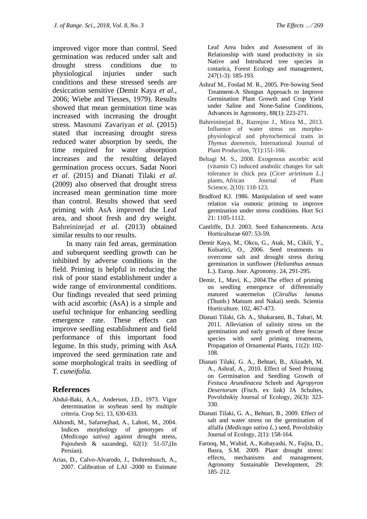improved vigor more than control. Seed germination was reduced under salt and drought stress conditions due to physiological injuries under such conditions and these stressed seeds are desiccation sensitive (Demir Kaya *et al.,* 2006; Wiebe and Tiesses, 1979). Results showed that mean germination time was increased with increasing the drought stress. Masoumi Zavariyan *et al.* (2015) stated that increasing drought stress reduced water absorption by seeds, the time required for water absorption increases and the resulting delayed germination process occurs. Sadat Noori *et al*. (2015) and Dianati Tilaki *et al*. (2009) also observed that drought stress increased mean germination time more than control. Results showed that seed priming with AsA improved the Leaf area, and shoot fresh and dry weight. Bahreininejad *et al.* (2013) obtained similar results to our results.

In many rain fed areas, germination and subsequent seedling growth can be inhibited by adverse conditions in the field. Priming is helpful in reducing the risk of poor stand establishment under a wide range of environmental conditions. Our findings revealed that seed priming with acid ascorbic (AsA) is a simple and useful technique for enhancing seedling emergence rate. These effects can improve seedling establishment and field performance of this important food legume. In this study, priming with AsA improved the seed germination rate and some morphological traits in seedling of *T. cuneifolia*.

# **References**

- Abdul-Baki, A.A., Anderson, J.D., 1973. Vigor determination in soybean seed by multiple criteria. Crop Sci. 13, 630-633.
- Akhondi, M., Safarnejhad, A., Lahoti, M., 2004. Indices morphology of genotypes of (*Medicago sativa)* against drought stress, Pajouhesh & sazandegi, 62(1): 51-57,(In Persian).
- Arias, D., Calvo-Alvarodo, J., Dohrenbusch, A., 2007. Calibration of LAI -2000 to Estimate

Leaf Area Index and Assessment of its Relationship with stand productivity in six Native and Introduced tree species in costarica, Forest Ecology and management, 247(1-3): 185-193.

- Ashraf M., Foolad M. R., 2005. Pre-Sowing Seed Treatment-A Shotgun Approach to Improve Germination Plant Growth and Crop Yield under Saline and None-Saline Conditions, Advances in Agronomy, 88(1): 223-271.
- Bahreininejad B., Razmjoo J., Mirza M., 2013. Influence of water stress on morphophysiological and phytochemical traits in *Thymus daenensis*, International Journal of Plant Production, 7(1):151-166.
- Beltagi M. S., 2008. Exogenous ascorbic acid (vitamin C) induced anabolic changes for salt tolerance in chick pea (*Cicer arietinum L*.) plants, African Journal of Plant Science, 2(10): 118-123.
- Bradford KJ. 1986. Manipulation of seed water relation via osmotic priming to improve germination under stress conditions. Hort Sci 21: 1105-1112.
- Cantliffe, D.J. 2003. Seed Enhancements. Acta Horticulturae 607: 53-59.
- Demir Kaya, M., Okcu, G., Atak, M., Cikili, Y., Kolsarici, O., 2006. Seed treatments to overcome salt and drought stress during germination in sunflower (*Helianthus annuus* L.). Europ. Jour. Agronomy. 24, 291-295.
- Demir, I., Mavi, K., 2004.The effect of priming on seedling emergence of differentially matured watermelon (*Citrullus lanatus* (Thunb.) Matsum and Nakai) seeds. Scientia Horticulture. 102, 467-473.
- Dianati Tilaki, Gh. A., Shakarami, B., Tabari, M. 2011. Alleviation of salinity stress on the germination and early growth of three fescue species with seed priming treatments, Propagation of Ornamental Plants, 11(2): 102- 108.
- Dianati Tilaki, G. A., Behtari, B., Alizadeh, M. A., Ashraf, A., 2010. Effect of Seed Priming on Germination and Seedling Growth of *Festuca Arundinacea* Schreb and *Agropyron Desertorum* (Fisch. ex link) JA Schultes, Povolzhskiy Journal of Ecology, 26(3): 323- 330.
- Dianati Tilaki, G. A., Behtari, B., 2009. Effect of salt and water stress on the germination of alfalfa (*Medicago sativa L.*) seed, Povolzhskiy Journal of Ecology, 2(1): 158-164.
- Farooq, M., Wahid, A., Kobayashi, N., Fujita, D., Basra, S.M. 2009. Plant drought stress: effects, mechanisms and management. Agronomy Sustainable Development, 29: 185–212.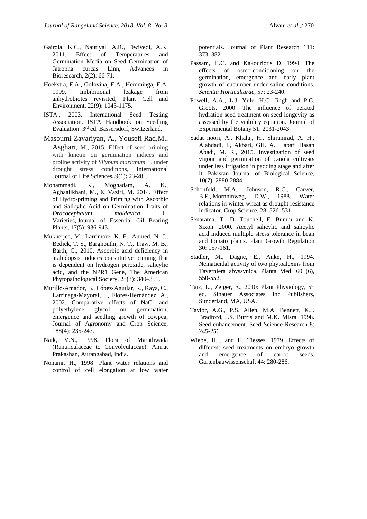- Gairola, K.C., Nautiyal, A.R., Dwivedi, A.K. 2011. Effect of Temperatures and Germination Media on Seed Germination of Jatropha curcas Linn, Advances in Bioresearch, 2(2): 66-71.
- Hoekstra, F.A., Golovina, E.A., Hemminga, E.A. 1999, Imbibitional leakage from anhydrobiotes revisited, Plant Cell and Environment, 22(9): 1043-1175.
- ISTA., 2003. International Seed Testing Association. ISTA Handbook on Seedling Evaluation. 3rd ed. Bassersdorf, Switzerland.
- Masoumi Zavariyan, A., Yousefi Rad,M., Asghari*,* M., 2015. Effect of seed priming with kinetin on germination indices and proline activity of *Silybum marianum* L. under drought stress conditions, International Journal of Life Sciences,.9(1): 23-28.
- Mohammadi, K., Moghadam, A. K., Aghaalikhani, M., & Vaziri, M. 2014. Effect of Hydro-priming and Priming with Ascorbic and Salicylic Acid on Germination Traits of *Dracocephalum moldavica* L. Varieties, Journal of Essential Oil Bearing Plants, 17(5): 936-943.
- Mukherjee, M., Larrimore, K. E., Ahmed, N. J., Bedick, T. S., Barghouthi, N. T., Traw, M. B., Barth, C., 2010. Ascorbic acid deficiency in arabidopsis induces constitutive priming that is dependent on hydrogen peroxide, salicylic acid, and the NPR1 Gene, The American Phytopathological Society, 23(3): 340–351.
- Murillo‐Amador, B., López‐Aguilar, R., Kaya, C., Larrinaga‐Mayoral, J., Flores‐Hernández, A., 2002. Comparative effects of NaCl and polyethylene glycol on germination, emergence and seedling growth of cowpea, Journal of Agronomy and Crop Science, 188(4): 235-247.
- Naik, V.N., 1998. Flora of Marathwada (Ranunculaceae to Convolvulaceae). Amrut Prakashan, Aurangabad, India.
- Nonami, H., 1998: Plant water relations and control of cell elongation at low water

potentials. Journal of Plant Research 111: 373–382.

- Passam, H.C. and Kakouriotis D. 1994. The effects of osmo-conditioning on the germination, emergence and early plant growth of cucumber under saline conditions. *Scientia Horticulturae*, 57: 23-240.
- Powell, A.A., L.J. Yule, H.C. Jingh and P.C. Groots. 2000. The influence of aerated hydration seed treatment on seed longevity as assessed by the viability equation. Journal of Experimental Botany 51: 2031-2043.
- Sadat noori, A., Khalaj, H., Shiranirad, A. H., Alahdadi, I., Akbari, GH. A., Labafi Hasan Abadi, M. R., 2015. Investigation of seed vigour and germination of canola cultivars under less irrigation in padding stage and after it, Pakistan Journal of Biological Science, 10(7): 2880-2884.
- Schonfeld, M.A., Johnson, R.C., Carver, B.F.,.Mornhinweg, D.W., 1988. Water relations in winter wheat as drought resistance indicator. Crop Science, 28: 526–531.
- Senaratna, T., D. Touchell, E. Bumm and K. Sixon. 2000. Acetyl salicylic and salicylic acid induced multiple stress tolerance in bean and tomato plants. Plant Growth Regulation 30: 157-161.
- Stadler, M., Dagne, E., Anke, H., 1994. Nematicidal activity of two phytoalexins from Taverniera abyssynica. Planta Med. 60 (6), 550-552.
- Taiz, L., Zeiger, E., 2010: Plant Physiology, 5<sup>th</sup> ed. Sinauer Associates Inc Publishers, Sunderland, MA, USA.
- Taylor, A.G., P.S. Allen, M.A. Bennett, K.J. Bradford, J.S. Burris and M.K. Misra. 1998. Seed enhancement. Seed Science Research 8: 245-256.
- Wiebe, H.J. and H. Tiesses. 1979. Effects of different seed treatments on embryo growth and emergence of carrot seeds. Gartenbauwissenschaft 44: 280-286.